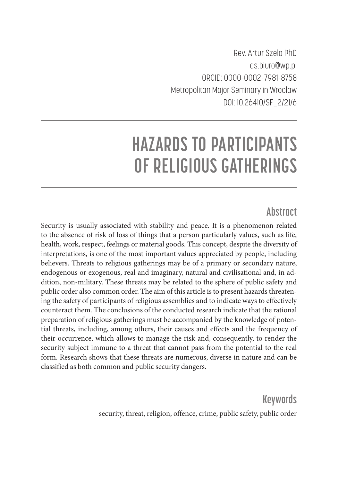Rev. Artur Szela PhD as.biuro@wp.pl ORCID: 0000-0002-7981-8758 Metropolitan Major Seminary in Wrocław DOI: 10.26410/SF\_2/21/6

# **HAZARDS TO PARTICIPANTS OF RELIGIOUS GATHERINGS**

## **Abstract**

Security is usually associated with stability and peace. It is a phenomenon related to the absence of risk of loss of things that a person particularly values, such as life, health, work, respect, feelings or material goods. This concept, despite the diversity of interpretations, is one of the most important values appreciated by people, including believers. Threats to religious gatherings may be of a primary or secondary nature, endogenous or exogenous, real and imaginary, natural and civilisational and, in addition, non-military. These threats may be related to the sphere of public safety and public order also common order. The aim of this article is to present hazards threatening the safety of participants of religious assemblies and to indicate ways to effectively counteract them. The conclusions of the conducted research indicate that the rational preparation of religious gatherings must be accompanied by the knowledge of potential threats, including, among others, their causes and effects and the frequency of their occurrence, which allows to manage the risk and, consequently, to render the security subject immune to a threat that cannot pass from the potential to the real form. Research shows that these threats are numerous, diverse in nature and can be classified as both common and public security dangers.

> **Keywords** security, threat, religion, offence, crime, public safety, public order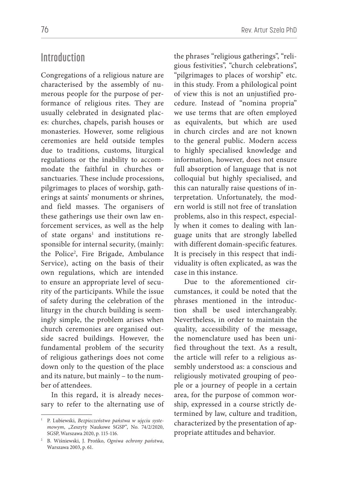## **Introduction**

Congregations of a religious nature are characterised by the assembly of numerous people for the purpose of performance of religious rites. They are usually celebrated in designated places: churches, chapels, parish houses or monasteries. However, some religious ceremonies are held outside temples due to traditions, customs, liturgical regulations or the inability to accommodate the faithful in churches or sanctuaries. These include processions, pilgrimages to places of worship, gatherings at saints' monuments or shrines, and field masses. The organisers of these gatherings use their own law enforcement services, as well as the help of state organs<sup>1</sup> and institutions responsible for internal security, (mainly: the Police2 , Fire Brigade, Ambulance Service), acting on the basis of their own regulations, which are intended to ensure an appropriate level of security of the participants. While the issue of safety during the celebration of the liturgy in the church building is seemingly simple, the problem arises when church ceremonies are organised outside sacred buildings. However, the fundamental problem of the security of religious gatherings does not come down only to the question of the place and its nature, but mainly – to the number of attendees.

In this regard, it is already necessary to refer to the alternating use of the phrases "religious gatherings", "religious festivities", "church celebrations", "pilgrimages to places of worship" etc. in this study. From a philological point of view this is not an unjustified procedure. Instead of "nomina propria" we use terms that are often employed as equivalents, but which are used in church circles and are not known to the general public. Modern access to highly specialised knowledge and information, however, does not ensure full absorption of language that is not colloquial but highly specialised, and this can naturally raise questions of interpretation. Unfortunately, the modern world is still not free of translation problems, also in this respect, especially when it comes to dealing with language units that are strongly labelled with different domain-specific features. It is precisely in this respect that individuality is often explicated, as was the case in this instance.

Due to the aforementioned circumstances, it could be noted that the phrases mentioned in the introduction shall be used interchangeably. Nevertheless, in order to maintain the quality, accessibility of the message, the nomenclature used has been unified throughout the text. As a result, the article will refer to a religious assembly understood as: a conscious and religiously motivated grouping of people or a journey of people in a certain area, for the purpose of common worship, expressed in a course strictly determined by law, culture and tradition, characterized by the presentation of appropriate attitudes and behavior.

<sup>1</sup> P. Lubiewski, *Bezpieczeństwo państwa w ujęciu syste*mowym, "Zeszyty Naukowe SGSP", No. 74/2/2020, SGSP, Warszawa 2020, p. 115-116.

<sup>2</sup> B. Wiśniewski, J. Prońko, *Ogniwa ochrony państwa*, Warszawa 2003, p. 61.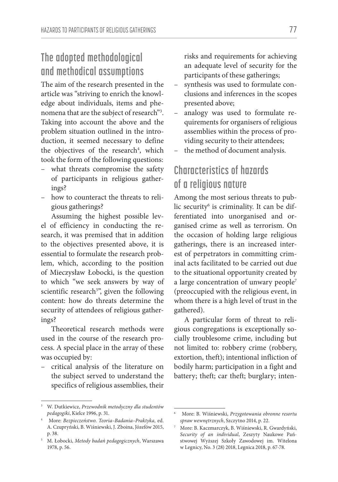# **The adopted methodological and methodical assumptions**

The aim of the research presented in the article was "striving to enrich the knowledge about individuals, items and phenomena that are the subject of research"3 . Taking into account the above and the problem situation outlined in the introduction, it seemed necessary to define the objectives of the research<sup>4</sup>, which took the form of the following questions:

- what threats compromise the safety of participants in religious gatherings?
- how to counteract the threats to religious gatherings?

Assuming the highest possible level of efficiency in conducting the research, it was premised that in addition to the objectives presented above, it is essential to formulate the research problem, which, according to the position of Mieczysław Łobocki, is the question to which "we seek answers by way of scientific research<sup>5</sup>", given the following content: how do threats determine the security of attendees of religious gatherings?

Theoretical research methods were used in the course of the research process. A special place in the array of these was occupied by:

– critical analysis of the literature on the subject served to understand the specifics of religious assemblies, their

risks and requirements for achieving an adequate level of security for the participants of these gatherings;

- synthesis was used to formulate conclusions and inferences in the scopes presented above;
- analogy was used to formulate requirements for organisers of religious assemblies within the process of providing security to their attendees;
- the method of document analysis.

# **Characteristics of hazards of a religious nature**

Among the most serious threats to public security6 is criminality. It can be differentiated into unorganised and organised crime as well as terrorism. On the occasion of holding large religious gatherings, there is an increased interest of perpetrators in committing criminal acts facilitated to be carried out due to the situational opportunity created by a large concentration of unwary people<sup>7</sup> (preoccupied with the religious event, in whom there is a high level of trust in the gathered).

A particular form of threat to religious congregations is exceptionally socially troublesome crime, including but not limited to: robbery crime (robbery, extortion, theft); intentional infliction of bodily harm; participation in a fight and battery; theft; car theft; burglary; inten-

<sup>3</sup> W. Dutkiewicz, *Przewodnik metodyczny dla studentów pedagogiki*, Kielce 1996, p. 31.

<sup>4</sup> More: *Bezpieczeństwo. Teoria–Badania–Praktyka,* ed. A. Czupryński, B. Wiśniewski, J. Zboina, Józefów 2015, p. 38.

<sup>5</sup> M. Łobocki, *Metody badań pedagogicznych*, Warszawa 1978, p. 56.

<sup>6</sup> More: B. Wiśniewski, *Przygotowania obronne resortu spraw wewnętrznych*, Szczytno 2014, p. 22.

<sup>7</sup> More: B. Kaczmarczyk, B. Wiśniewski, R. Gwardyński, *Security of an individual*, Zeszyty Naukowe Państwowej Wyższej Szkoły Zawodowej im. Witelona w Legnicy, No. 3 (28) 2018, Legnica 2018, p. 67-78.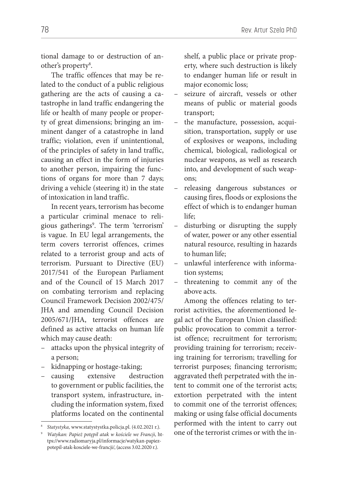tional damage to or destruction of another's property<sup>8</sup>.

The traffic offences that may be related to the conduct of a public religious gathering are the acts of causing a catastrophe in land traffic endangering the life or health of many people or property of great dimensions; bringing an imminent danger of a catastrophe in land traffic; violation, even if unintentional, of the principles of safety in land traffic, causing an effect in the form of injuries to another person, impairing the functions of organs for more than 7 days; driving a vehicle (steering it) in the state of intoxication in land traffic.

In recent years, terrorism has become a particular criminal menace to religious gatherings9 . The term 'terrorism' is vague. In EU legal arrangements, the term covers terrorist offences, crimes related to a terrorist group and acts of terrorism. Pursuant to Directive (EU) 2017/541 of the European Parliament and of the Council of 15 March 2017 on combating terrorism and replacing Council Framework Decision 2002/475/ JHA and amending Council Decision 2005/671/JHA, terrorist offences are defined as active attacks on human life which may cause death:

- attacks upon the physical integrity of a person;
- kidnapping or hostage-taking;
- causing extensive destruction to government or public facilities, the transport system, infrastructure, including the information system, fixed platforms located on the continental

shelf, a public place or private property, where such destruction is likely to endanger human life or result in major economic loss;

- seizure of aircraft, vessels or other means of public or material goods transport;
- the manufacture, possession, acquisition, transportation, supply or use of explosives or weapons, including chemical, biological, radiological or nuclear weapons, as well as research into, and development of such weapons;
- releasing dangerous substances or causing fires, floods or explosions the effect of which is to endanger human life;
- disturbing or disrupting the supply of water, power or any other essential natural resource, resulting in hazards to human life;
- unlawful interference with information systems;
- threatening to commit any of the above acts.

Among the offences relating to terrorist activities, the aforementioned legal act of the European Union classified: public provocation to commit a terrorist offence; recruitment for terrorism; providing training for terrorism; receiving training for terrorism; travelling for terrorist purposes; financing terrorism; aggravated theft perpetrated with the intent to commit one of the terrorist acts; extortion perpetrated with the intent to commit one of the terrorist offences; making or using false official documents performed with the intent to carry out one of the terrorist crimes or with the in-

<sup>8</sup> *Statystyka,* www.statystystka.policja.pl. (4.02.2021 r.).

<sup>9</sup> *Watykan: Papież potępił atak w kościele we Francji*, https://www.radiomaryja.pl/informacje/watykan-papiezpotepil-atak-kosciele-we-francji/, (access 3.02.2020 r.).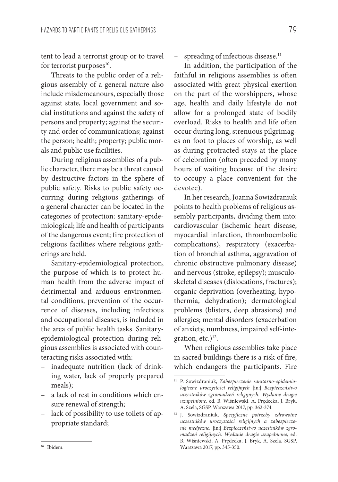tent to lead a terrorist group or to travel for terrorist purposes $10$ .

Threats to the public order of a religious assembly of a general nature also include misdemeanours, especially those against state, local government and social institutions and against the safety of persons and property; against the security and order of communications; against the person; health; property; public morals and public use facilities.

During religious assemblies of a public character, there may be a threat caused by destructive factors in the sphere of public safety. Risks to public safety occurring during religious gatherings of a general character can be located in the categories of protection: sanitary-epidemiological; life and health of participants of the dangerous event; fire protection of religious facilities where religious gatherings are held.

Sanitary-epidemiological protection, the purpose of which is to protect human health from the adverse impact of detrimental and arduous environmental conditions, prevention of the occurrence of diseases, including infectious and occupational diseases, is included in the area of public health tasks. Sanitaryepidemiological protection during religious assemblies is associated with counteracting risks associated with:

- inadequate nutrition (lack of drinking water, lack of properly prepared meals);
- a lack of rest in conditions which ensure renewal of strength;
- lack of possibility to use toilets of appropriate standard;

– spreading of infectious disease.<sup>11</sup>

In addition, the participation of the faithful in religious assemblies is often associated with great physical exertion on the part of the worshippers, whose age, health and daily lifestyle do not allow for a prolonged state of bodily overload. Risks to health and life often occur during long, strenuous pilgrimages on foot to places of worship, as well as during protracted stays at the place of celebration (often preceded by many hours of waiting because of the desire to occupy a place convenient for the devotee).

In her research, Joanna Sowizdraniuk points to health problems of religious assembly participants, dividing them into: cardiovascular (ischemic heart disease, myocardial infarction, thromboembolic complications), respiratory (exacerbation of bronchial asthma, aggravation of chronic obstructive pulmonary disease) and nervous (stroke, epilepsy); musculoskeletal diseases (dislocations, fractures); organic deprivation (overheating, hypothermia, dehydration); dermatological problems (blisters, deep abrasions) and allergies; mental disorders (exacerbation of anxiety, numbness, impaired self-integration, etc.) $12$ .

When religious assemblies take place in sacred buildings there is a risk of fire, which endangers the participants. Fire

<sup>11</sup> P. Sowizdraniuk, *Zabezpieczenie sanitarno-epidemiologiczne uroczystości religijnych* [in:] *Bezpieczeństwo uczestników zgromadzeń religijnych. Wydanie drugie uzupełnione,* ed. B. Wiśniewski, A. Prędecka, J. Bryk, A. Szela, SGSP, Warszawa 2017, pp. 362-374.

<sup>12</sup> J. Sowizdraniuk, *Specyficzne potrzeby zdrowotne uczestników uroczystości religijnych a zabezpieczenie medyczne,* [in:] *Bezpieczeństwo uczestników zgromadzeń religijnych. Wydanie drugie uzupełnione,* ed. B. Wiśniewski, A. Prędecka, J. Bryk, A. Szela, SGSP, Warszawa 2017, pp. 345-350.

<sup>10</sup> Ibidem.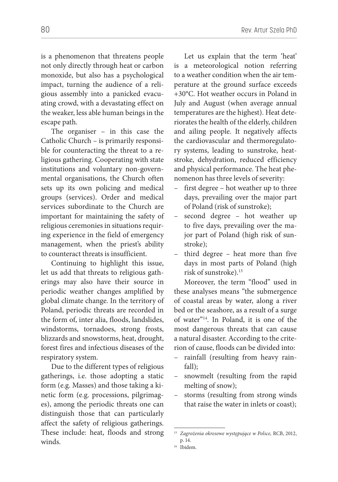is a phenomenon that threatens people not only directly through heat or carbon monoxide, but also has a psychological impact, turning the audience of a religious assembly into a panicked evacuating crowd, with a devastating effect on the weaker, less able human beings in the escape path.

The organiser – in this case the Catholic Church – is primarily responsible for counteracting the threat to a religious gathering. Cooperating with state institutions and voluntary non-governmental organisations, the Church often sets up its own policing and medical groups (services). Order and medical services subordinate to the Church are important for maintaining the safety of religious ceremonies in situations requiring experience in the field of emergency management, when the priest's ability to counteract threats is insufficient.

Continuing to highlight this issue, let us add that threats to religious gatherings may also have their source in periodic weather changes amplified by global climate change. In the territory of Poland, periodic threats are recorded in the form of, inter alia, floods, landslides, windstorms, tornadoes, strong frosts, blizzards and snowstorms, heat, drought, forest fires and infectious diseases of the respiratory system.

Due to the different types of religious gatherings, i.e. those adopting a static form (e.g. Masses) and those taking a kinetic form (e.g. processions, pilgrimages), among the periodic threats one can distinguish those that can particularly affect the safety of religious gatherings. These include: heat, floods and strong winds.

Let us explain that the term 'heat' is a meteorological notion referring to a weather condition when the air temperature at the ground surface exceeds +30°C. Hot weather occurs in Poland in July and August (when average annual temperatures are the highest). Heat deteriorates the health of the elderly, children and ailing people. It negatively affects the cardiovascular and thermoregulatory systems, leading to sunstroke, heatstroke, dehydration, reduced efficiency and physical performance. The heat phenomenon has three levels of severity:

- first degree hot weather up to three days, prevailing over the major part of Poland (risk of sunstroke);
- second degree hot weather up to five days, prevailing over the major part of Poland (high risk of sunstroke);
- third degree heat more than five days in most parts of Poland (high risk of sunstroke).13

Moreover, the term "flood" used in these analyses means "the submergence of coastal areas by water, along a river bed or the seashore, as a result of a surge of water"14. In Poland, it is one of the most dangerous threats that can cause a natural disaster. According to the criterion of cause, floods can be divided into:

- rainfall (resulting from heavy rainfall);
- snowmelt (resulting from the rapid melting of snow);
- storms (resulting from strong winds that raise the water in inlets or coast);

<sup>13</sup> *Zagrożenia okresowe występujące w Polsce,* RCB, 2012, p. 14.

<sup>14</sup> Ibidem.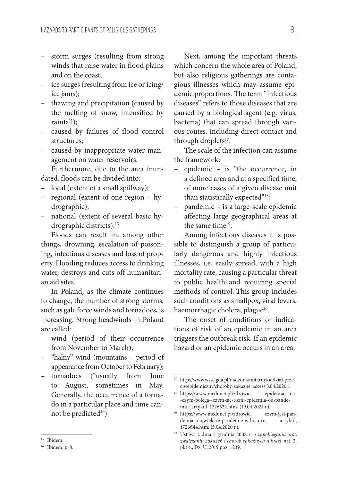- storm surges (resulting from strong winds that raise water in flood plains and on the coast;
- ice surges (resulting from ice or icing/ ice jams);
- thawing and precipitation (caused by the melting of snow, intensified by rainfall);
- caused by failures of flood control structures;
- caused by inappropriate water management on water reservoirs.

Furthermore, due to the area inundated, floods can be divided into:

- local (extent of a small spillway);
- regional (extent of one region hydrographic);
- national (extent of several basic hydrographic districts).<sup>15</sup>

Floods can result in, among other things, drowning, escalation of poisoning, infectious diseases and loss of property. Flooding reduces access to drinking water, destroys and cuts off humanitarian aid sites.

In Poland, as the climate continues to change, the number of strong storms, such as gale force winds and tornadoes, is increasing. Strong headwinds in Poland are called:

- wind (period of their occurrence from November to March);
- "halny" wind (mountains period of appearance from October to February);
- tornadoes ("usually from June to August, sometimes in May. Generally, the occurrence of a tornado in a particular place and time cannot be predicted16)

Next, among the important threats which concern the whole area of Poland, but also religious gatherings are contagious illnesses which may assume epidemic proportions. The term "infectious diseases" refers to those diseases that are caused by a biological agent (e.g. virus, bacteria) that can spread through various routes, including direct contact and through droplets<sup>17</sup>.

The scale of the infection can assume the framework:

- epidemic is "the occurrence, in a defined area and at a specified time, of more cases of a given disease unit than statistically expected"<sup>18</sup>;
- pandemic is a large-scale epidemic affecting large geographical areas at the same time<sup>19</sup>.

Among infectious diseases it is possible to distinguish a group of particularly dangerous and highly infectious illnesses, i.e. easily spread, with a high mortality rate, causing a particular threat to public health and requiring special methods of control. This group includes such conditions as smallpox, viral fevers, haemorrhagic cholera, plague<sup>20</sup>.

The onset of conditions or indications of risk of an epidemic in an area triggers the outbreak risk. If an epidemic hazard or an epidemic occurs in an area:

<sup>15</sup> Ibidem.

<sup>16</sup> Ibidem, p. 8.

 $^{\rm 17}$ http://www.wsse.gda.pl/nadzor-sanitarny/oddzial-przeciwepidemiczny/choroby-zakazne, access 3.04.2020 r.

<sup>18</sup> https://www.medonet.pl/zdrowie, epidemia---na- -czym-polega--czym-sie-rozni-epidemia-od-pandemii-, artykul, 1726522.html (19.04.2021 r.).

<sup>&</sup>lt;sup>19</sup> https://www.medonet.pl/zdrowie, czym-jest-pandemia--najwieksze-pandemie-w-historii, artykul, 1726644.html (5.04.2020 r.).

<sup>20</sup> Ustawa z dnia 5 grudnia 2008 r. *o zapobieganiu oraz zwalczaniu zakażeń i chorób zakaźnych u ludzi*, art. 2. pkt 4., Dz. U. 2019 poz. 1239.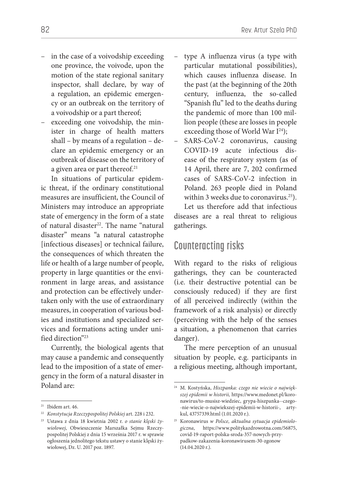- in the case of a voivodship exceeding one province, the voivode, upon the motion of the state regional sanitary inspector, shall declare, by way of a regulation, an epidemic emergency or an outbreak on the territory of a voivodship or a part thereof;
- exceeding one voivodship, the minister in charge of health matters shall – by means of a regulation – declare an epidemic emergency or an outbreak of disease on the territory of a given area or part thereof.<sup>21</sup>

In situations of particular epidemic threat, if the ordinary constitutional measures are insufficient, the Council of Ministers may introduce an appropriate state of emergency in the form of a state of natural disaster<sup>22</sup>. The name "natural disaster" means "a natural catastrophe [infectious diseases] or technical failure, the consequences of which threaten the life or health of a large number of people, property in large quantities or the environment in large areas, and assistance and protection can be effectively undertaken only with the use of extraordinary measures, in cooperation of various bodies and institutions and specialized services and formations acting under unified direction"23

Currently, the biological agents that may cause a pandemic and consequently lead to the imposition of a state of emergency in the form of a natural disaster in Poland are:

- type A influenza virus (a type with particular mutational possibilities), which causes influenza disease. In the past (at the beginning of the 20th century, influenza, the so-called "Spanish flu" led to the deaths during the pandemic of more than 100 million people (these are losses in people exceeding those of World War  $I^{24}$ );
- SARS-CoV-2 coronavirus, causing COVID-19 acute infectious disease of the respiratory system (as of 14 April, there are 7, 202 confirmed cases of SARS-CoV-2 infection in Poland. 263 people died in Poland within 3 weeks due to coronavirus.<sup>25</sup>).

Let us therefore add that infectious diseases are a real threat to religious gatherings.

### **Counteracting risks**

With regard to the risks of religious gatherings, they can be counteracted (i.e. their destructive potential can be consciously reduced) if they are first of all perceived indirectly (within the framework of a risk analysis) or directly (perceiving with the help of the senses a situation, a phenomenon that carries danger).

The mere perception of an unusual situation by people, e.g. participants in a religious meeting, although important,

 $21$  Ibidem art. 46.

<sup>22</sup> *Konstytucja Rzeczypospolitej Polskiej* art. 228 i 232.

<sup>23</sup> Ustawa z dnia 18 kwietnia 2002 r. *o stanie klęski żywiołowej*, Obwieszczenie Marszałka Sejmu Rzeczypospolitej Polskiej z dnia 15 września 2017 r. w sprawie ogłoszenia jednolitego tekstu ustawy o stanie klęski żywiołowej, Dz. U. 2017 poz. 1897.

<sup>24</sup> M. Kostyńska, *Hiszpanka: czego nie wiecie o największej epidemii w historii,* https://www.medonet.pl/koronawirus/to-musisz-wiedziec, grypa-hiszpanka--czego- -nie-wiecie-o-najwiekszej-epidemii-w-historii-, artykul, 43757339.html (1.01.2020 r.).

<sup>25</sup> Koronawirus *w Polsce, aktualna sytuacja epidemiologiczna*, https://www.politykazdrowotna.com/56875, covid-19-raport-polska-sroda-357-nowych-przypadkow-zakazenia-koronawirusem-30-zgonow (14.04.2020 r.).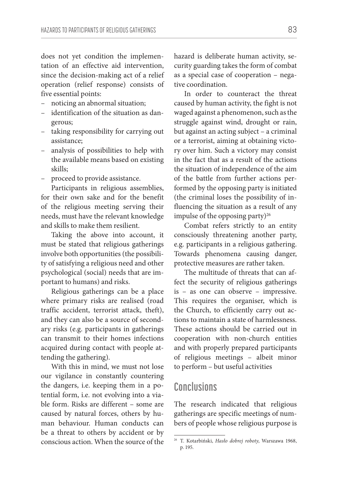does not yet condition the implementation of an effective aid intervention, since the decision-making act of a relief operation (relief response) consists of five essential points:

- noticing an abnormal situation;
- identification of the situation as dangerous;
- taking responsibility for carrying out assistance;
- analysis of possibilities to help with the available means based on existing skills;
- proceed to provide assistance.

Participants in religious assemblies, for their own sake and for the benefit of the religious meeting serving their needs, must have the relevant knowledge and skills to make them resilient.

Taking the above into account, it must be stated that religious gatherings involve both opportunities (the possibility of satisfying a religious need and other psychological (social) needs that are important to humans) and risks.

Religious gatherings can be a place where primary risks are realised (road traffic accident, terrorist attack, theft), and they can also be a source of secondary risks (e.g. participants in gatherings can transmit to their homes infections acquired during contact with people attending the gathering).

With this in mind, we must not lose our vigilance in constantly countering the dangers, i.e. keeping them in a potential form, i.e. not evolving into a viable form. Risks are different – some are caused by natural forces, others by human behaviour. Human conducts can be a threat to others by accident or by conscious action. When the source of the

hazard is deliberate human activity, security guarding takes the form of combat as a special case of cooperation – negative coordination.

In order to counteract the threat caused by human activity, the fight is not waged against a phenomenon, such as the struggle against wind, drought or rain, but against an acting subject – a criminal or a terrorist, aiming at obtaining victory over him. Such a victory may consist in the fact that as a result of the actions the situation of independence of the aim of the battle from further actions performed by the opposing party is initiated (the criminal loses the possibility of influencing the situation as a result of any impulse of the opposing party)<sup>26</sup>

Combat refers strictly to an entity consciously threatening another party, e.g. participants in a religious gathering. Towards phenomena causing danger, protective measures are rather taken.

The multitude of threats that can affect the security of religious gatherings is – as one can observe – impressive. This requires the organiser, which is the Church, to efficiently carry out actions to maintain a state of harmlessness. These actions should be carried out in cooperation with non-church entities and with properly prepared participants of religious meetings – albeit minor to perform – but useful activities

#### **Conclusions**

The research indicated that religious gatherings are specific meetings of numbers of people whose religious purpose is

<sup>26</sup> T. Kotarbiński, *Hasło dobrej roboty*, Warszawa 1968, p. 195.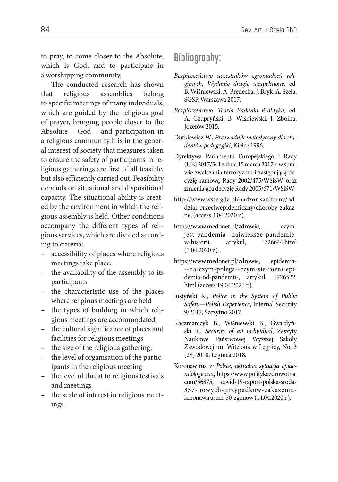to pray, to come closer to the Absolute, which is God, and to participate in a worshipping community.

The conducted research has shown that religious assemblies belong to specific meetings of many individuals, which are guided by the religious goal of prayer, bringing people closer to the Absolute – God – and participation in a religious community.It is in the general interest of society that measures taken to ensure the safety of participants in religious gatherings are first of all feasible, but also efficiently carried out. Feasibility depends on situational and dispositional capacity. The situational ability is created by the environment in which the religious assembly is held. Other conditions accompany the different types of religious services, which are divided according to criteria:

- accessibility of places where religious meetings take place;
- the availability of the assembly to its participants
- the characteristic use of the places where religious meetings are held
- the types of building in which religious meetings are accommodated;
- the cultural significance of places and facilities for religious meetings
- the size of the religious gathering;
- the level of organisation of the participants in the religious meeting
- the level of threat to religious festivals and meetings
- the scale of interest in religious meetings.

## **Bibliography:**

- *Bezpieczeństwo uczestników zgromadzeń religijnych. Wydanie drugie uzupełnione,* ed. B. Wiśniewski, A. Prędecka, J. Bryk, A. Szela, SGSP, Warszawa 2017.
- *Bezpieczeństwo. Teoria–Badania–Praktyka,* ed. A. Czupryński, B. Wiśniewski, J. Zboina, Józefów 2015.
- Dutkiewicz W., *Przewodnik metodyczny dla studentów pedagogiki*, Kielce 1996.
- Dyrektywa Parlamentu Europejskiego i Rady (UE) 2017/541 z dnia 15 marca 2017 r. w sprawie zwalczania terroryzmu i zastępującą decyzję ramową Rady 2002/475/WSiSW oraz zmieniającą decyzję Rady 2005/671/WSiSW.
- http://www.wsse.gda.pl/nadzor-sanitarny/oddzial-przeciwepidemiczny/choroby-zakazne, (access 3.04.2020 r.).
- https://www.medonet.pl/zdrowie, czymjest-pandemia--najwieksze-pandemiew-historii, artykul, 1726644.html (5.04.2020 r.).
- https://www.medonet.pl/zdrowie, epidemia- --na-czym-polega--czym-sie-rozni-epidemia-od-pandemii-, artykul, 1726522. html (access:19.04.2021 r.).
- Justyński K., *Police in the System of Public Safety—Polish Experience*, Internal Security 9/2017, Szczytno 2017.
- Kaczmarczyk B., Wiśniewski B., Gwardyński R., *Security of an individual*, Zeszyty Naukowe Państwowej Wyższej Szkoły Zawodowej im. Witelona w Legnicy, No. 3 (28) 2018, Legnica 2018.
- Koronawirus *w Polsce, aktualna sytuacja epidemiologiczna*, https://www.politykazdrowotna. com/56875, covid-19-raport-polska-sroda-357-nowych-przypadkow-zakazeniakoronawirusem-30-zgonow (14.04.2020 r.).